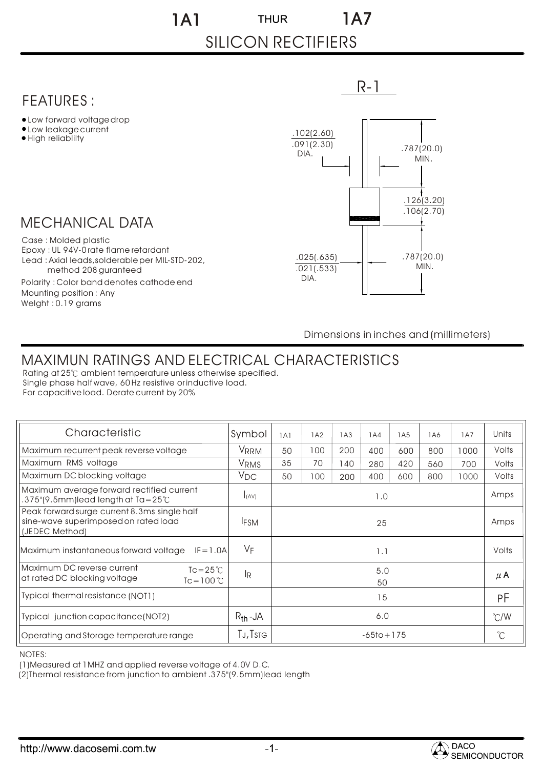1A1 1A7 **THUR** SILICON RECTIFIERS

## MECHANICAL DATA FEATURES : Low forward voltage drop Low leakage current • High reliability Case : Molded plastic Epoxy : UL 94V-0 rate flame retardant Lead : Axial leads,solderable per MIL-STD-202, method 208 guranteed Polarity : Color band denotes cathode end Mounting position : Any Welght : 0.19 grams R-1 .787(20.0) MIN. .787(20.0) MIN. .126(3.20) .106(2.70) .025(.635) .021(.533) DIA. .102(2.60) .091(2.30) DIA.

Dimensions in inches and (millimeters)

## MAXIMUN RATINGS AND ELECTRICAL CHARACTERISTICS

Rating at 25°C ambient temperature unless otherwise specified. Single phase half wave, 60 Hz resistive or inductive load. For capacitive load. Derate current by 20%

| Characteristic                                                                                         | Symbol               | 1A1            | 1A2 | 1A3 | 1A4 | 1A <sub>5</sub> | 1A6 | 1A7           | Units        |
|--------------------------------------------------------------------------------------------------------|----------------------|----------------|-----|-----|-----|-----------------|-----|---------------|--------------|
| Maximum recurrent peak reverse voltage                                                                 | <b>VRRM</b>          | 50             | 100 | 200 | 400 | 600             | 800 | 1000          | Volts        |
| Maximum RMS voltage                                                                                    | V <sub>RMS</sub>     | 35             | 70  | 40  | 280 | 420             | 560 | 700           | Volts        |
| Maximum DC blocking voltage                                                                            | $V_{DC}$             | 50             | 100 | 200 | 400 | 600             | 800 | 1000          | Volts        |
| Maximum average forward rectified current<br>$.375$ "(9.5mm)lead length at Ta=25 $°C$                  | I(AV)                | 1.0            |     |     |     |                 |     |               | Amps         |
| Peak forward surge current 8.3ms single half<br>sine-wave superimposed on rated load<br>(JEDEC Method) | <b>IFSM</b>          | 25             |     |     |     |                 |     |               | Amps         |
| Maximum instantaneous forward voltage $IF = 1.0A$                                                      | VF                   | 1.1            |     |     |     |                 |     |               | Volts        |
| Maximum DC reverse current<br>$Tc = 25^{\circ}$<br>at rated DC blocking voltage<br>$Tc = 100^{\circ}C$ | R                    | 5.0<br>50      |     |     |     |                 |     |               | $\mu$ A      |
| Typical thermal resistance (NOT1)                                                                      |                      | 15             |     |     |     |                 |     |               | PF           |
| Typical junction capacitance (NOT2)                                                                    | $R_{th}$ -JA         | 6.0            |     |     |     |                 |     | $\degree$ C/W |              |
| Operating and Storage temperature range                                                                | TJ, T <sub>STG</sub> | $-65$ to + 175 |     |     |     |                 |     |               | $\mathrm{C}$ |

NOTES:

(1)Measured at 1MHZ and applied reverse voltage of 4.0V D.C.

(2)Thermal resistance from junction to ambient .375"(9.5mm)lead length